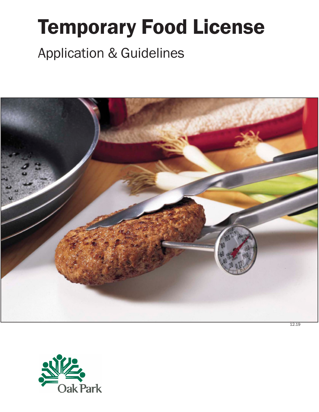# Temporary Food License Application & Guidelines



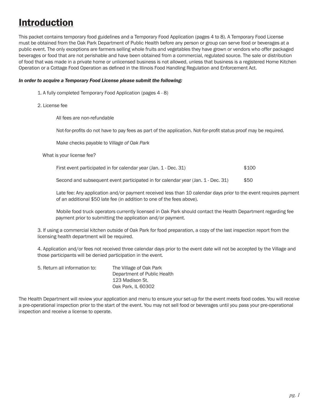### Introduction

This packet contains temporary food guidelines and a Temporary Food Application (pages 4 to 8). A Temporary Food License must be obtained from the Oak Park Department of Public Health before any person or group can serve food or beverages at a public event. The only exceptions are farmers selling whole fruits and vegetables they have grown or vendors who offer packaged beverages or food that are not perishable and have been obtained from a commercial, regulated source. The sale or distribution of food that was made in a private home or unlicensed business is not allowed, unless that business is a registered Home Kitchen Operation or a Cottage Food Operation as defined in the Illinois Food Handling Regulation and Enforcement Act.

#### *In order to acquire a Temporary Food License please submit the following:*

- 1. A fully completed Temporary Food Application (pages 4 8)
- 2. License fee

All fees are non-refundable

Not-for-profits do not have to pay fees as part of the application. Not-for-profit status proof may be required.

Make checks payable to *Village of Oak Park*

What is your license fee?

| First event participated in for calendar year (Jan. 1 - Dec. 31) | \$100 |
|------------------------------------------------------------------|-------|
|                                                                  |       |

Second and subsequent event participated in for calendar year (Jan. 1 - Dec. 31) \$50

Late fee: Any application and/or payment received less than 10 calendar days prior to the event requires payment of an additional \$50 late fee (in addition to one of the fees above).

Mobile food truck operators currently licensed in Oak Park should contact the Health Department regarding fee payment prior to submitting the application and/or payment.

3. If using a commercial kitchen outside of Oak Park for food preparation, a copy of the last inspection report from the licensing health department will be required.

4. Application and/or fees not received three calendar days prior to the event date will not be accepted by the Village and those participants will be denied participation in the event.

| 5. Return all information to: | The Village of Oak Park     |  |
|-------------------------------|-----------------------------|--|
|                               | Department of Public Health |  |
|                               | 123 Madison St.             |  |
|                               | Oak Park. IL 60302          |  |

The Health Department will review your application and menu to ensure your set-up for the event meets food codes. You will receive a pre-operational inspection prior to the start of the event. You may not sell food or beverages until you pass your pre-operational inspection and receive a license to operate.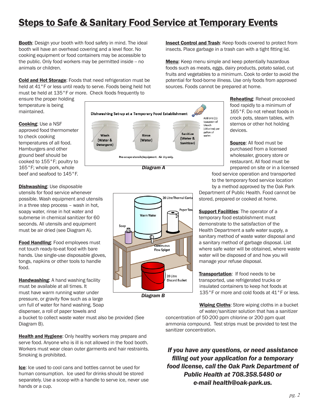### **Steps to Safe & Sanitary Food Service at Temporary Events**

Booth: Design your booth with food safety in mind. The ideal booth will have an overhead covering and a level floor. No cooking equipment or food containers may be accessible to the public. Only food workers may be permitted inside -- no animals or children.

Cold and Hot Storage: Foods that need refrigeration must be held at 41°F or less until ready to serve. Foods being held hot must be held at 135°F or more. Check foods frequently to

ensure the proper holding temperature is being maintained.

Cooking: Use a NSF approved food thermometer to check cooking temperatures of all food. Hamburgers and other ground beef should be cooked to 155°F; poultry to 165°F; whole pork, whole beef and seafood to 145°F.

**Dishwashing: Use disposable** utensils for food service whenever possible. Wash equipment and utensils in a three step process – wash in hot, soapy water, rinse in hot water and submerse in chemical sanitizer for 60 seconds. All utensils and equipment must be air dried (see Diagram A).

Food Handling: Food employees must not touch ready-to-eat food with bare hands. Use single-use disposable gloves, tongs, napkins or other tools to handle food.

Handwashing: A hand washing facility must be available at all times. It must have warm running water under pressure, or gravity flow such as a large urn full of water for hand washing. Soap dispenser, a roll of paper towels and

a bucket to collect waste water must also be provided (See Diagram B).

**Health and Hygiene:** Only healthy workers may prepare and serve food. Anyone who is ill is not allowed in the food booth. Workers must wear clean outer garments and hair restraints. Smoking is prohibited.

Ice: Ice used to cool cans and bottles cannot be used for human consumption. Ice used for drinks should be stored separately. Use a scoop with a handle to serve ice, never use hands or a cup.

**Insect Control and Trash:** Keep foods covered to protect from insects. Place garbage in a trash can with a tight fitting lid.

**Menu:** Keep menu simple and keep potentially hazardous foods such as meats, eggs, dairy products, potato salad, cut fruits and vegetables to a minimum. Cook to order to avoid the potential for food-borne illness. Use only foods from approved sources. Foods cannot be prepared at home.

Dishwashing Set-up at a Temporary Food Establishment Add one (1) teaspoon of<br>bleach (chlorine) per gallon of Sanitize Wash Rinse water. (Water & (Water & (Water) Sanitizer) Detergent) Pre-scrape utensils/equipment. Air dry only. *Diagram A*



Reheating: Reheat precooked food rapidly to a minimum of 165°F. Do not reheat foods in crock pots, steam tables, with sternos or other hot holding devices.

Source: All food must be purchased from a licensed wholesaler, grocery store or restaurant. All food must be prepared on site or in a licensed

food service operation and transported to the temporary food service location by a method approved by the Oak Park

Department of Public Health. Food cannot be stored, prepared or cooked at home.

Support Facilities: The operator of a temporary food establishment must demonstrate to the satisfaction of the Health Department a safe water supply, a sanitary method of waste water disposal and a sanitary method of garbage disposal. List where safe water will be obtained, where waste water will be disposed of and how you will manage your refuse disposal.

Transportation: If food needs to be transported, use refrigerated trucks or insulated containers to keep hot foods at 135°F or more and cold foods at 41°F or less.

Wiping Cloths: Store wiping cloths in a bucket of water/sanitizer solution that has a sanitizer

concentration of 50-200 ppm chlorine or 200 ppm quat ammonia compound. Test strips must be provided to test the sanitizer concentration.

*If you have any questions, or need assistance filling out your application for a temporary food license, call the Oak Park Department of Public Health at 708.358.5480 or e-mail health@oak-park.us.*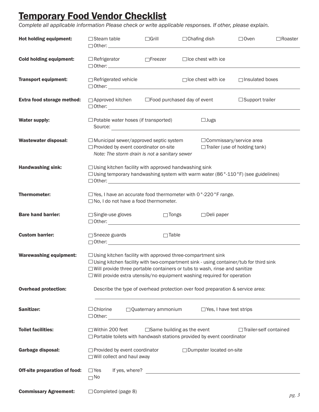### Temporary Food Vendor Checklist

*Complete all applicable information Please check or write applicable responses. If other, please explain.*

| Hot holding equipment:         |                                                                                                                                                |                       | $\Box$ Steam table $\Box$ Grill $\Box$ Chafing dish                                                                                                                                                                                                                                                                                       | $\Box$ Oven                                                 | $\Box$ Roaster |
|--------------------------------|------------------------------------------------------------------------------------------------------------------------------------------------|-----------------------|-------------------------------------------------------------------------------------------------------------------------------------------------------------------------------------------------------------------------------------------------------------------------------------------------------------------------------------------|-------------------------------------------------------------|----------------|
| <b>Cold holding equipment:</b> |                                                                                                                                                |                       | $\Box$ Refrigerator $\Box$ Freezer $\Box$ Ice chest with ice                                                                                                                                                                                                                                                                              |                                                             |                |
| <b>Transport equipment:</b>    | $\Box$ Refrigerated vehicle                                                                                                                    |                       | $\Box$ Ice chest with ice                                                                                                                                                                                                                                                                                                                 | □ Insulated boxes                                           |                |
| Extra food storage method:     |                                                                                                                                                |                       | □ Approved kitchen □ Food purchased day of event                                                                                                                                                                                                                                                                                          | $\Box$ Support trailer                                      |                |
| <b>Water supply:</b>           | $\Box$ Potable water hoses (if transported)                                                                                                    |                       | $\Box$ Jugs<br>Source:                                                                                                                                                                                                                                                                                                                    |                                                             |                |
| <b>Wastewater disposal:</b>    | $\Box$ Municipal sewer/approved septic system<br>$\Box$ Provided by event coordinator on-site<br>Note: The storm drain is not a sanitary sewer |                       |                                                                                                                                                                                                                                                                                                                                           | □ Commissary/service area<br>□Trailer (use of holding tank) |                |
| <b>Handwashing sink:</b>       | $\Box$ Using kitchen facility with approved handwashing sink                                                                                   |                       | $\Box$ Using temporary handwashing system with warm water (86 $^{\circ}$ -110 $^{\circ}$ F) (see guidelines)                                                                                                                                                                                                                              |                                                             |                |
| <b>Thermometer:</b>            | $\Box$ No, I do not have a food thermometer.                                                                                                   |                       | $\Box$ Yes, I have an accurate food thermometer with 0°-220°F range.                                                                                                                                                                                                                                                                      |                                                             |                |
| <b>Bare hand barrier:</b>      | $\Box$ Single-use gloves                                                                                                                       |                       | □ Tongs □ Deli paper                                                                                                                                                                                                                                                                                                                      |                                                             |                |
| <b>Custom barrier:</b>         | $\Box$ Sneeze guards                                                                                                                           | $\Box$ Table          |                                                                                                                                                                                                                                                                                                                                           |                                                             |                |
| <b>Warewashing equipment:</b>  |                                                                                                                                                |                       | $\Box$ Using kitchen facility with approved three-compartment sink<br>$\Box$ Using kitchen facility with two-compartment sink - using container/tub for third sink<br>$\Box$ Will provide three portable containers or tubs to wash, rinse and sanitize<br>$\Box$ Will provide extra utensils/no equipment washing required for operation |                                                             |                |
| <b>Overhead protection:</b>    |                                                                                                                                                |                       | Describe the type of overhead protection over food preparation & service area:                                                                                                                                                                                                                                                            |                                                             |                |
| Sanitizer:                     | $\Box$ Chlorine<br>$\Box$ Other:                                                                                                               | □ Quaternary ammonium | $\Box$ Yes, I have test strips                                                                                                                                                                                                                                                                                                            |                                                             |                |
| <b>Toilet facilities:</b>      | $\Box$ Within 200 feet                                                                                                                         |                       | $\Box$ Same building as the event<br>□ Portable toilets with handwash stations provided by event coordinator                                                                                                                                                                                                                              | □Trailer-self contained                                     |                |
| <b>Garbage disposal:</b>       | $\Box$ Provided by event coordinator<br>□ Will collect and haul away                                                                           |                       | □ Dumpster located on-site                                                                                                                                                                                                                                                                                                                |                                                             |                |
| Off-site preparation of food:  | $\Box$ Yes<br>$\Box$ No                                                                                                                        |                       |                                                                                                                                                                                                                                                                                                                                           |                                                             |                |
| <b>Commissary Agreement:</b>   | $\Box$ Completed (page 8)                                                                                                                      |                       |                                                                                                                                                                                                                                                                                                                                           |                                                             |                |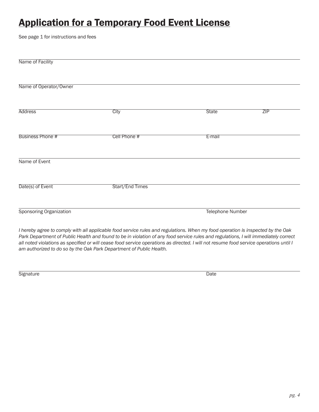## **Application for a Temporary Food Event License**

See page 1 for instructions and fees

| Name of Facility                                                    |                                                                                                                                                                                                                                                                                                                                                                                                                  |              |                  |  |
|---------------------------------------------------------------------|------------------------------------------------------------------------------------------------------------------------------------------------------------------------------------------------------------------------------------------------------------------------------------------------------------------------------------------------------------------------------------------------------------------|--------------|------------------|--|
| Name of Operator/Owner                                              |                                                                                                                                                                                                                                                                                                                                                                                                                  |              |                  |  |
| <b>Address</b>                                                      | City                                                                                                                                                                                                                                                                                                                                                                                                             | <b>State</b> | ZIP              |  |
| Business Phone #                                                    | Cell Phone #                                                                                                                                                                                                                                                                                                                                                                                                     | E-mail       |                  |  |
| Name of Event                                                       |                                                                                                                                                                                                                                                                                                                                                                                                                  |              |                  |  |
| Date(s) of Event                                                    | Start/End Times                                                                                                                                                                                                                                                                                                                                                                                                  |              |                  |  |
| Sponsoring Organization                                             |                                                                                                                                                                                                                                                                                                                                                                                                                  |              | Telephone Number |  |
| am authorized to do so by the Oak Park Department of Public Health. | I hereby agree to comply with all applicable food service rules and regulations. When my food operation is inspected by the Oak<br>Park Department of Public Health and found to be in violation of any food service rules and regulations, I will immediately correct<br>all noted violations as specified or will cease food service operations as directed. I will not resume food service operations until I |              |                  |  |

Signature Date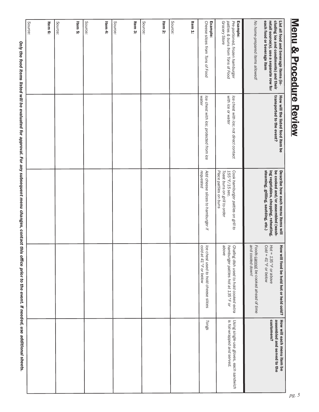#### List all food and beverage items (in-<br>cluding ice and condiments) and their *Source:* Item 3: Item 1: Pre-portioned, frozen hamburger Example: No home-prepared items allowed! each food or beverage item retail source(s). use a separate row for *Source:* Item 5: Item 4: *Source:* Item 2: Cheese slices from Tons of Food Example: Grocery Store patties & buns from Tons of Food Item 6: *Source: Source: Source: Grocery Store patties & buns from Tons of Food Pre-portioned, frozen hamburger No home-prepared items allowed!* each food or beverage item retail source(s). use a separate row for cluding ice and condiments) and their transported to the event? How will the listed food item be be cooked and/or assembled (wash Describe how each menu items will - steaming, grilling, sautéing, etc.) ing vegetables, chopping, reheating, List all food and beverage items (in-*Cheese slices from Tons of Food water* Ice chest with ice; not direct contact<br>with ice or water How will the listed food item be<br>transported to the event? lce chest with ice; protected from ice *Ice chest with ice; not direct contact Ice chest with ice; protected from ice with ice or water* ing vegetables, chopping, reheating,<br>steaming, grilling, sautéing, etc.) *requested* Cook hamburger patties on grill to<br>155° F/15 sec. be cooked and/or assembled (wash-Describe how each menu items will Toast buns on grill to order<br>Place patties on buns *Add cheese slices to hamburger if Place patties on buns Toast buns on grill to order 155°F/15 sec. Cook hamburger patties on grill to Fow will food be held hot or held cold?* **How will each menu item be**<br>*Hot = 135°F or above*<br>*Cold = 41°F or below*<br>*Foods <u>cannot</u> be cooked ahead of time cooxed and cooked ahead of time* lce chest used to hold cheese slices<br>cold at 41 °F or below *above* Chafing dish used to hold cooked extra<br>hamburger patties hot at 135 °F or *hamburger patties hot at 135°F or*  and cooled down! *and cooled down! cold at 41°F or below Ice chest used to hold cheese slices Tongs Chafing dish used to hold cooked extra*  Tongs Using single-use gloves, each sandwich<br>is foil-wrapped and served. customers? customers? assembled and served to the How will each menu item be *is foil-wrapped and served. Using single-use gloves, each sandwich*

Only the food items listed will be evaluated for approval. For any subsequent menu changes, contact this office prior to the event. If needed, use additional sheets. *0nly the food items listed will be evaluated for approval. For any subsequent menu changes, contact this office prior to the event. If needed, use additional sheets.*

Menu & Procedure Review Menu & Procedure Review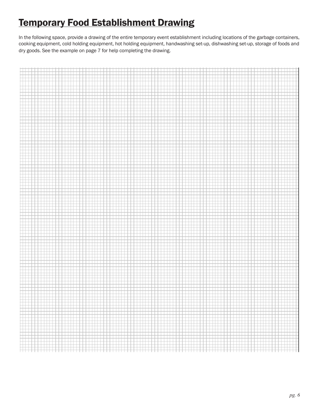## **Temporary Food Establishment Drawing**

In the following space, provide a drawing of the entire temporary event establishment including locations of the garbage containers, cooking equipment, cold holding equipment, hot holding equipment, handwashing set-up, dishwashing set-up, storage of foods and dry goods. See the example on page 7 for help completing the drawing.

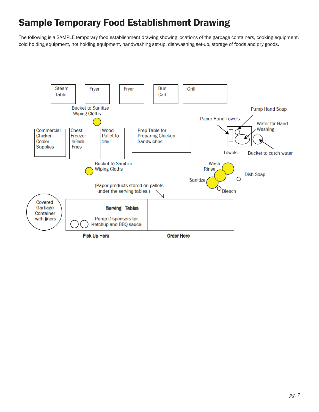### Sample Temporary Food Establishment Drawing

The following is a SAMPLE temporary food establishment drawing showing locations of the garbage containers, cooking equipment, cold holding equipment, hot holding equipment, handwashing set-up, dishwashing set-up, storage of foods and dry goods.